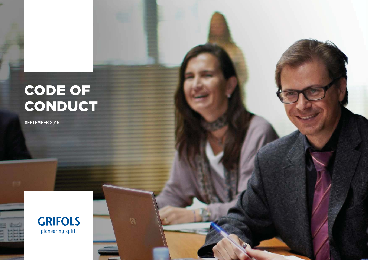# CODE OF CONDUCT

SEPTEMBER 2015

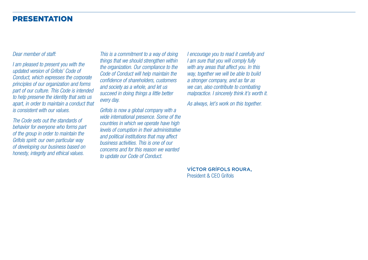### PRESENTATION

#### Dear member of staff:

I am pleased to present you with the updated version of Grifols' Code of Conduct, which expresses the corporate principles of our organization and forms part of our culture. This Code is intended to help preserve the identity that sets us apart, in order to maintain a conduct that is consistent with our values.

The Code sets out the standards of behavior for everyone who forms part of the group in order to maintain the Grifols spirit: our own particular way of developing our business based on honesty, integrity and ethical values.

This is a commitment to a way of doing things that we should strengthen within the organization. Our compliance to the Code of Conduct will help maintain the confidence of shareholders, customers and society as a whole, and let us succeed in doing things a little better every day.

Grifols is now a global company with a wide international presence. Some of the countries in which we operate have high levels of corruption in their administrative and political institutions that may affect business activities. This is one of our concerns and for this reason we wanted to update our Code of Conduct.

I encourage you to read it carefully and I am sure that you will comply fully with any areas that affect you. In this way, together we will be able to build a stronger company, and as far as we can, also contribute to combating malpractice. I sincerely think it's worth it.

As always, let's work on this together.

VÍCTOR GRÍFOLS ROURA, President & CEO Grifols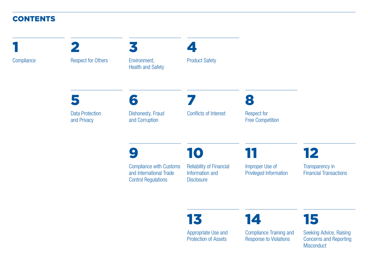### **CONTENTS**

9 Compliance with Customs and International Trade Control Regulations 10Reliability of Financial Information and **Disclosure** 11Improper Use of Privileged Information 12Transparency in Financial Transactions5Data Protection and Privacy 6 Dishonesty, Fraud and Corruption 7Conflicts of Interest8Respect for Free Competition 1**Compliance** 2Respect for Others 3Environment, Health and Safety 4Product Safety

13

Appropriate Use and Protection of Assets

14

Compliance Training and Response to Violations

Seeking Advice, Raising Concerns and Reporting **Misconduct** 

15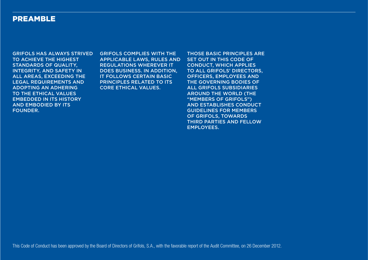### PREAMBLE

GRIFOLS HAS ALWAYS STRIVED TO ACHIEVE THE HIGHEST STANDARDS OF QUALITY, INTEGRITY, AND SAFETY IN ALL AREAS, EXCEEDING THE LEGAL REQUIREMENTS AND ADOPTING AN ADHERING TO THE ETHICAL VALUES EMBEDDED IN ITS HISTORY AND EMBODIED BY ITS FOUNDER.

GRIFOLS COMPLIES WITH THE APPLICABLE LAWS, RULES AND REGULATIONS WHEREVER IT DOES BUSINESS. IN ADDITION, IT FOLLOWS CERTAIN BASIC PRINCIPLES RELATED TO ITS CORE ETHICAL VALUES.

THOSE BASIC PRINCIPLES ARE SET OUT IN THIS CODE OF CONDUCT, WHICH APPLIES TO ALL GRIFOLS' DIRECTORS, OFFICERS, EMPLOYEES AND THE GOVERNING BODIES OF ALL GRIFOLS SUBSIDIARIES AROUND THE WORLD (THE "MEMBERS OF GRIFOLS") AND ESTABLISHES CONDUCT GUIDELINES FOR MEMBERS OF GRIFOLS, TOWARDS THIRD PARTIES AND FELLOW EMPLOYEES.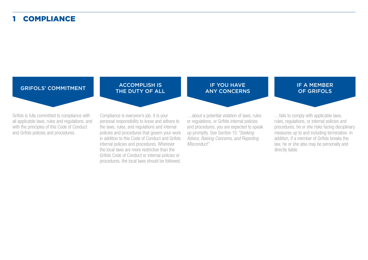#### 1-**COMPLIANCE**

#### GRIFOLS' COMMITMENT

Grifols is fully committed to compliance with all applicable laws, rules and regulations, and with the principles of this Code of Conduct and Grifols policies and procedures.

## ACCOMPLISH IS THE DUTY OF ALL

Compliance is everyone's job. It is your personal responsibility to know and adhere to the laws, rules, and regulations and internal policies and procedures that govern your work in addition to this Code of Conduct and Grifols internal policies and procedures. Wherever the local laws are more restrictive than the Grifols Code of Conduct or internal policies or procedures, the local laws should be followed.

## IF YOU HAVE ANY CONCERNS

…about a potential violation of laws, rules or regulations, or Grifols internal policies and procedures, you are expected to speak up promptly. See Section 15 "Seeking Advice, Raising Concerns, and Reporting Misconduct".

IF A MEMBER OF GRIFOLS

…fails to comply with applicable laws, rules, regulations, or internal policies and procedures, he or she risks facing disciplinary measures up to and including termination. In addition, if a member of Grifols breaks the law, he or she also may be personally and directly liable.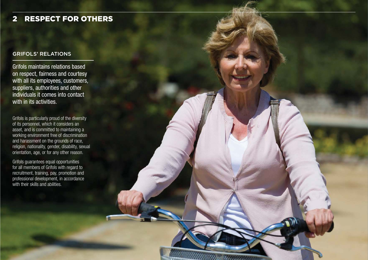#### 2-RESPECT FOR OTHERS

#### GRIFOLS' RELATIONS

Grifols maintains relations based on respect, fairness and courtesy with all its employees, customers, suppliers, authorities and other individuals it comes into contact with in its activities.

Grifols is particularly proud of the diversity of its personnel, which it considers an asset, and is committed to maintaining a working environment free of discrimination and harassment on the grounds of race, religion, nationality, gender, disability, sexual orientation, age, or for any other reason.

Grifols guarantees equal opportunities for all members of Grifols with regard to recruitment, training, pay, promotion and professional development, in accordance with their skills and abilities.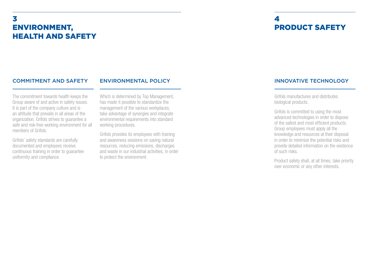### 3-ENVIRONMENT, HEALTH AND SAFETY

### 4-PRODUCT SAFETY

#### COMMITMENT AND SAFETY

#### ENVIRONMENTAL POLICY

The commitment towards health keeps the Group aware of and active in safety issues. It is part of the company culture and is an attitude that prevails in all areas of the organization. Grifols strives to guarantee a safe and risk-free working environment for all members of Grifols.

Grifols' safety standards are carefully documented and employees receive continuous training in order to guarantee uniformity and compliance.

Which is determined by Top Management, has made it possible to standardize the management of the various workplaces, take advantage of synergies and integrate environmental requirements into standard working procedures.

Grifols provides its employees with training and awareness sessions on saving natural resources, reducing emissions, discharges and waste in our industrial activities, in order to protect the environment.

### INNOVATIVE TECHNOLOGY

Grifols manufactures and distributes biological products.

Grifols is committed to using the most advanced technologies in order to dispose of the safest and most efficient products. Group employees must apply all the knowledge and resources at their disposal in order to minimize the potential risks and provide detailed information on the existence of such risks.

Product safety shall, at all times, take priority over economic or any other interests.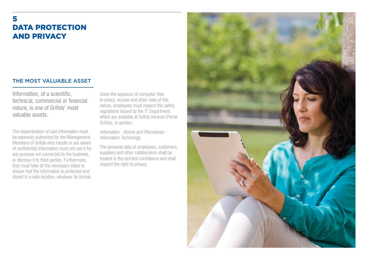### 5DATA PROTECTION AND PRIVACY

### THE MOST VALUABLE ASSET

Information, of a scientific, technical, commercial or financial nature, is one of Grifols' most valuable assets.

The dissemination of said information must be expressly authorized by the Management. Members of Grifols who handle or are aware of confidential information must not use it for any purpose not connected to the business, or disclose it to third parties. Furthermore, they must take all the necessary steps to ensure that the information is protected and stored in a safe location, whatever its format.

Given the exposure of computer files to piracy, viruses and other risks of this nature, employees must respect the safety regulations issued by the IT Department, which are available at Grifols Intranet (Portal Grifols), in section:

Information - Norms and Procedures - Information Technology

The personal data of employees, customers, suppliers and other collaborators shall be treated in the strictest confidence and shall respect the right to privacy.

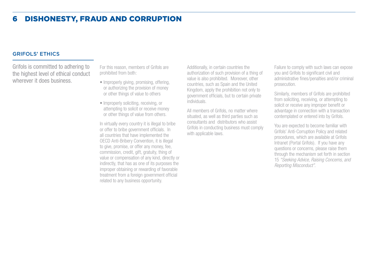#### 6-DISHONESTY, FRAUD AND CORRUPTION

#### GRIFOLS' ETHICS

Grifols is committed to adhering to the highest level of ethical conduct wherever it does business.

For this reason, members of Grifols are prohibited from both:

- Improperly giving, promising, offering, or authorizing the provision of money or other things of value to others
- Improperly soliciting, receiving, or attempting to solicit or receive money or other things of value from others.

In virtually every country it is illegal to bribe or offer to bribe government officials. In all countries that have implemented the OECD Anti-Bribery Convention, it is illegal to give, promise, or offer any money, fee, commission, credit, gift, gratuity, thing of value or compensation of any kind, directly or indirectly, that has as one of its purposes the improper obtaining or rewarding of favorable treatment from a foreign government official related to any business opportunity.

Additionally, in certain countries the authorization of such provision of a thing of value is also prohibited. Moreover, other countries, such as Spain and the United Kingdom, apply the prohibition not only to government officials, but to certain private individuals.

All members of Grifols, no matter where situated, as well as third parties such as consultants and distributors who assist Grifols in conducting business must comply with applicable laws.

Failure to comply with such laws can expose you and Grifols to significant civil and administrative fines/penalties and/or criminal prosecution.

Similarly, members of Grifols are prohibited from soliciting, receiving, or attempting to solicit or receive any improper benefit or advantage in connection with a transaction contemplated or entered into by Grifols.

You are expected to become familiar with Grifols' Anti-Corruption Policy and related procedures, which are available at Grifols Intranet (Portal Grifols). If you have any questions or concerns, please raise them through the mechanism set forth in section 15 "Seeking Advice, Raising Concerns, and Reporting Misconduct".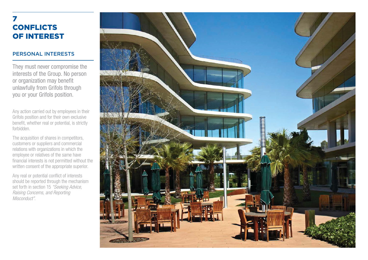### 7**CONFLICTS** OF INTEREST

### PERSONAL INTERESTS

They must never compromise the interests of the Group. No person or organization may benefit unlawfully from Grifols through you or your Grifols position.

Any action carried out by employees in their Grifols position and for their own exclusive benefit, whether real or potential, is strictly forbidden.

The acquisition of shares in competitors, customers or suppliers and commercial relations with organizations in which the employee or relatives of the same have financial interests is not permitted without the written consent of the appropriate superior.

Any real or potential conflict of interests should be reported through the mechanism set forth in section 15 "Seeking Advice, Raising Concerns, and Reporting Misconduct".

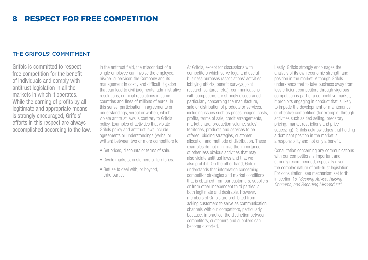### THE GRIFOLS' COMMITMENT

Grifols is committed to respect free competition for the benefit of individuals and comply with antitrust legislation in all the markets in which it operates. While the earning of profits by all legitimate and appropriate means is strongly encouraged, Grifols' efforts in this respect are always accomplished according to the law.

In the antitrust field, the misconduct of a single employee can involve the employee, his/her supervisor, the Company and its management in costly and difficult litigation that can lead to civil judgments, administrative resolutions, criminal resolutions in some countries and fines of millions of euros. In this sense, participation in agreements or understandings, verbal or written, which violate antitrust laws is contrary to Grifols policy. Examples of activities that violate Grifols policy and antitrust laws include agreements or understandings (verbal or written) between two or more competitors to:

- Set prices, discounts or terms of sale.
- Divide markets, customers or territories.
- Refuse to deal with, or boycott, third parties.

At Grifols, except for discussions with competitors which serve legal and useful business purposes (associations' activities, lobbying efforts, benefit surveys, joint research ventures, etc.), communications with competitors are strongly discouraged, particularly concerning the manufacture, sale or distribution of products or services, including issues such as prices, wages, costs, profits, terms of sale, credit arrangements, market share, production volume, sales' territories, products and services to be offered, bidding strategies, customer allocation and methods of distribution. These examples do not minimize the importance of other less obvious activities that may also violate antitrust laws and that we also prohibit. On the other hand, Grifols understands that information concerning competitor strategies and market conditions that is obtained from our customers, suppliers or from other independent third parties is both legitimate and desirable. However, members of Grifols are prohibited from asking customers to serve as communication channels with our competitors, particularly because, in practice, the distinction between competitors, customers and suppliers can become distorted.

Lastly, Grifols strongly encourages the analysis of its own economic strength and position in the market. Although Grifols understands that to take business away from less efficient competitors through vigorous competition is part of a competitive market, it prohibits engaging in conduct that is likely to impede the development or maintenance of effective competition (for example, through activities such as tied selling, predatory pricing, market restrictions and price squeezing). Grifols acknowledges that holding a dominant position in the market is a responsibility and not only a benefit.

Consultation concerning any communications with our competitors is important and strongly recommended, especially given the complex nature of anti-trust legislation. For consultation, see mechanism set forth in section 15 "Seeking Advice, Raising Concerns, and Reporting Misconduct".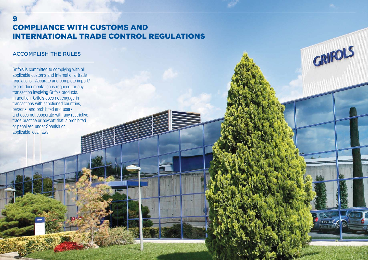### COMPLIANCE WITH CUSTOMS AND INTERNATIONAL TRADE CONTROL REGULATIONS

GRIFOLS

#### ACCOMPLISH THE RULES

9

Grifols is committed to complying with all applicable customs and international trade regulations. Accurate and complete import/ export documentation is required for any transaction involving Grifols products. In addition, Grifols does not engage in transactions with sanctioned countries, persons, and prohibited end users, and does not cooperate with any restrictive trade practice or boycott that is prohibited or penalized under Spanish or applicable local laws.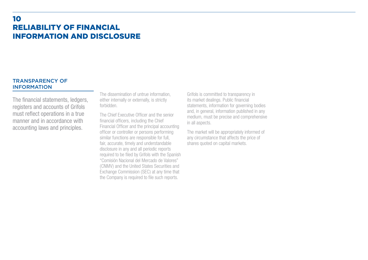### 10RELIABILITY OF FINANCIAL INFORMATION AND DISCLOSURE

#### TRANSPARENCY OF INFORMATION

The financial statements, ledgers, registers and accounts of Grifols must reflect operations in a true manner and in accordance with accounting laws and principles.

The dissemination of untrue information, either internally or externally, is strictly forbidden.

The Chief Executive Officer and the senior financial officers, including the Chief Financial Officer and the principal accounting officer or controller or persons performing similar functions are responsible for full, fair, accurate, timely and understandable disclosure in any and all periodic reports required to be filed by Grifols with the Spanish "Comisión Nacional del Mercado de Valores" (CNMV) and the United States Securities and Exchange Commission (SEC) at any time that the Company is required to file such reports.

Grifols is committed to transparency in its market dealings. Public financial statements, information for governing bodies and, in general, information published in any medium, must be precise and comprehensive in all aspects.

The market will be appropriately informed of any circumstance that affects the price of shares quoted on capital markets.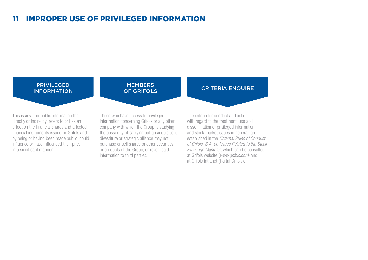### 11-IMPROPER USE OF PRIVILEGED INFORMATION

#### PRIVILEGED INFORMATION

This is any non-public information that, directly or indirectly, refers to or has an effect on the financial shares and affected financial instruments issued by Grifols and by being or having been made public, could influence or have influenced their price in a significant manner.

### **MEMBERS** OF GRIFOLS

Those who have access to privileged information concerning Grifols or any other company with which the Group is studying the possibility of carrying out an acquisition, divestiture or strategic alliance may not purchase or sell shares or other securities or products of the Group, or reveal said information to third parties.

The criteria for conduct and action with regard to the treatment, use and dissemination of privileged information, and stock market issues in general, are established in the "Internal Rules of Conduct of Grifols, S.A. on Issues Related to the Stock Exchange Markets", which can be consulted at Grifols website (www.grifols.com) and at Grifols Intranet (Portal Grifols).

CRITERIA ENQUIRE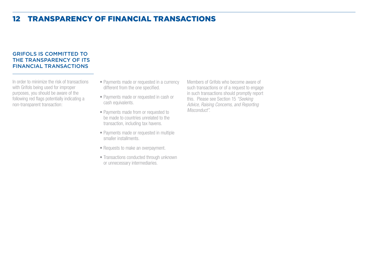### 12-TRANSPARENCY OF FINANCIAL TRANSACTIONS

### GRIFOLS IS COMMITTED TO THE TRANSPARENCY OF ITS FINANCIAL TRANSACTIONS

In order to minimize the risk of transactions with Grifols being used for improper purposes, you should be aware of the following red flags potentially indicating a non-transparent transaction:

- Payments made or requested in a currency different from the one specified.
- Payments made or requested in cash or cash equivalents.
- Payments made from or requested to be made to countries unrelated to the transaction, including tax havens.
- Payments made or requested in multiple smaller installments.
- Requests to make an overpayment.
- Transactions conducted through unknown or unnecessary intermediaries.

Members of Grifols who become aware of such transactions or of a request to engage in such transactions should promptly report this. Please see Section 15 "Seeking Advice, Raising Concerns, and Reporting Misconduct".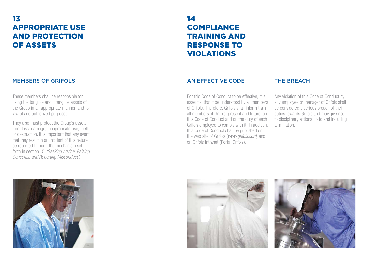### 13APPROPRIATE USE AND PROTECTION OF ASSETS

MEMBERS OF GRIFOLS

lawful and authorized purposes.

These members shall be responsible for using the tangible and intangible assets of the Group in an appropriate manner, and for

They also must protect the Group's assets from loss, damage, inappropriate use, theft or destruction. It is important that any event that may result in an incident of this nature be reported through the mechanism set forth in section 15 "Seeking Advice, Raising Concerns, and Reporting Misconduct".

### 14**COMPLIANCE** TRAINING AND RESPONSE TO VIOLATIONS

### AN EFFECTIVE CODE

For this Code of Conduct to be effective, it is essential that it be understood by all members of Grifols. Therefore, Grifols shall inform train all members of Grifols, present and future, on this Code of Conduct and on the duty of each Grifols employee to comply with it. In addition, this Code of Conduct shall be published on the web site of Grifols (www.grifols.com) and on Grifols Intranet (Portal Grifols).

### THE BREACH

Any violation of this Code of Conduct by any employee or manager of Grifols shall be considered a serious breach of their duties towards Grifols and may give rise to disciplinary actions up to and including termination.





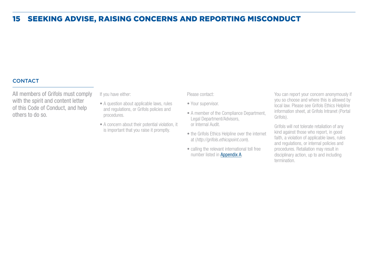### 15-SEEKING ADVISE, RAISING CONCERNS AND REPORTING MISCONDUCT

### **CONTACT**

All members of Grifols must comply with the spirit and content letter of this Code of Conduct, and help others to do so.

If you have either:

- A question about applicable laws, rules and regulations, or Grifols policies and procedures.
- A concern about their potential violation, it is important that you raise it promptly.

Please contact:

- Your supervisor.
- A member of the Compliance Department, Legal Department/Advisors,or Internal Audit.
- the Grifols Ethics Helpline over the internet at (http://grifols.ethicspoint.com).
- calling the relevant international toll free number listed in **[Appendix A](https://www.grifols.com/documents/51507592/1023105310/Appendix+A_ENG_January+2020.pdf/08af8233-6c3c-4c04-9d40-67098f49a90d)**.

You can report your concern anonymously if you so choose and where this is allowed by local law. Please see Grifols Ethics Helpline information sheet, at Grifols Intranet (Portal Grifols).

Grifols will not tolerate retaliation of any kind against those who report, in good faith, a violation of applicable laws, rules and regulations, or internal policies and procedures. Retaliation may result in disciplinary action, up to and including termination.